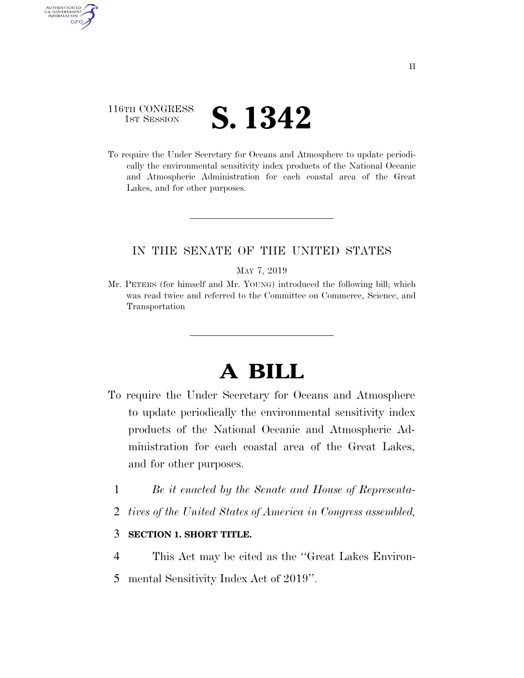## 116TH CONGRESS **1ST SESSION S. 1342**

AUTHENTICATED U.S. GOVERNMENT **GPO** 

> To require the Under Secretary for Oceans and Atmosphere to update periodically the environmental sensitivity index products of the National Oceanic and Atmospheric Administration for each coastal area of the Great Lakes, and for other purposes.

### IN THE SENATE OF THE UNITED STATES

#### MAY 7, 2019

Mr. PETERS (for himself and Mr. YOUNG) introduced the following bill; which was read twice and referred to the Committee on Commerce, Science, and Transportation

# **A BILL**

- To require the Under Secretary for Oceans and Atmosphere to update periodically the environmental sensitivity index products of the National Oceanic and Atmospheric Administration for each coastal area of the Great Lakes, and for other purposes.
	- 1 *Be it enacted by the Senate and House of Representa-*
	- 2 *tives of the United States of America in Congress assembled,*

#### 3 **SECTION 1. SHORT TITLE.**

- 4 This Act may be cited as the ''Great Lakes Environ-
- 5 mental Sensitivity Index Act of 2019''.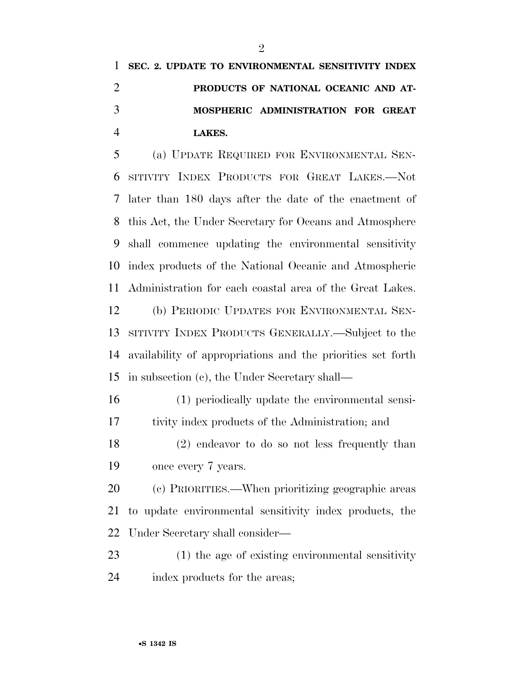|               | 1 SEC. 2. UPDATE TO ENVIRONMENTAL SENSITIVITY INDEX |
|---------------|-----------------------------------------------------|
|               | PRODUCTS OF NATIONAL OCEANIC AND AT-                |
| $\mathcal{R}$ | MOSPHERIC ADMINISTRATION FOR GREAT                  |
|               | LAKES.                                              |

 (a) UPDATE REQUIRED FOR ENVIRONMENTAL SEN- SITIVITY INDEX PRODUCTS FOR GREAT LAKES.—Not later than 180 days after the date of the enactment of this Act, the Under Secretary for Oceans and Atmosphere shall commence updating the environmental sensitivity index products of the National Oceanic and Atmospheric Administration for each coastal area of the Great Lakes.

 (b) PERIODIC UPDATES FOR ENVIRONMENTAL SEN- SITIVITY INDEX PRODUCTS GENERALLY.—Subject to the availability of appropriations and the priorities set forth in subsection (c), the Under Secretary shall—

 (1) periodically update the environmental sensi-tivity index products of the Administration; and

 (2) endeavor to do so not less frequently than once every 7 years.

 (c) PRIORITIES.—When prioritizing geographic areas to update environmental sensitivity index products, the Under Secretary shall consider—

 (1) the age of existing environmental sensitivity index products for the areas;